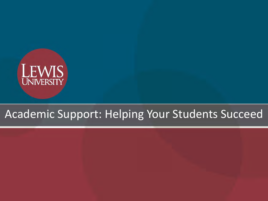

#### Academic Support: Helping Your Students Succeed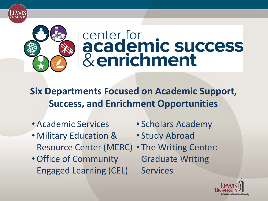

# center for<br>academic success & enrichment

**Six Departments Focused on Academic Support, Success, and Enrichment Opportunities**

- Academic Services
- Military Education & Resource Center (MERC)
- Office of Community Engaged Learning (CEL)
- Scholars Academy
- Study Abroad
- The Writing Center: Graduate Writing **Services**

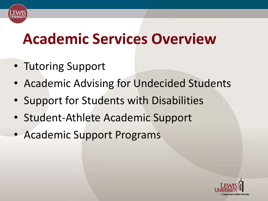#### **Academic Services Overview**

- Tutoring Support
- Academic Advising for Undecided Students
- Support for Students with Disabilities
- Student-Athlete Academic Support
- Academic Support Programs

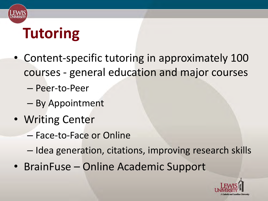

## **Tutoring**

- Content-specific tutoring in approximately 100 courses - general education and major courses
	- Peer-to-Peer
	- By Appointment
- Writing Center
	- Face-to-Face or Online
	- Idea generation, citations, improving research skills
- BrainFuse Online Academic Support

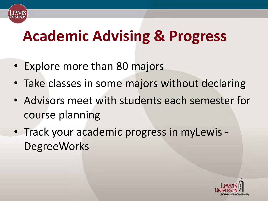### **Academic Advising & Progress**

- Explore more than 80 majors
- Take classes in some majors without declaring
- Advisors meet with students each semester for course planning
- Track your academic progress in myLewis **DegreeWorks**

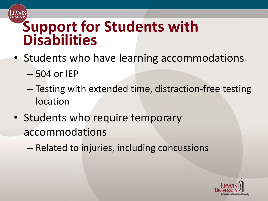#### **Support for Students with Disabilities**

- Students who have learning accommodations
	- 504 or IEP
	- Testing with extended time, distraction-free testing location
- Students who require temporary accommodations
	- Related to injuries, including concussions

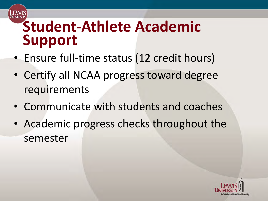#### **Student-Athlete Academic Support**

- Ensure full-time status (12 credit hours)
- Certify all NCAA progress toward degree requirements
- Communicate with students and coaches
- Academic progress checks throughout the semester

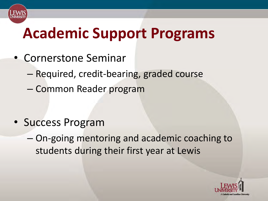

### **Academic Support Programs**

- Cornerstone Seminar
	- Required, credit-bearing, graded course
	- Common Reader program

- Success Program
	- On-going mentoring and academic coaching to students during their first year at Lewis

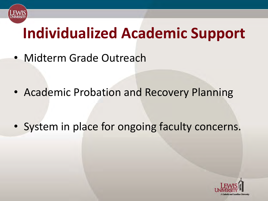

## **Individualized Academic Support**

• Midterm Grade Outreach

• Academic Probation and Recovery Planning

• System in place for ongoing faculty concerns.

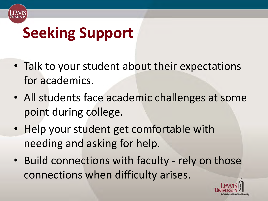

## **Seeking Support**

- Talk to your student about their expectations for academics.
- All students face academic challenges at some point during college.
- Help your student get comfortable with needing and asking for help.
- Build connections with faculty rely on those connections when difficulty arises.